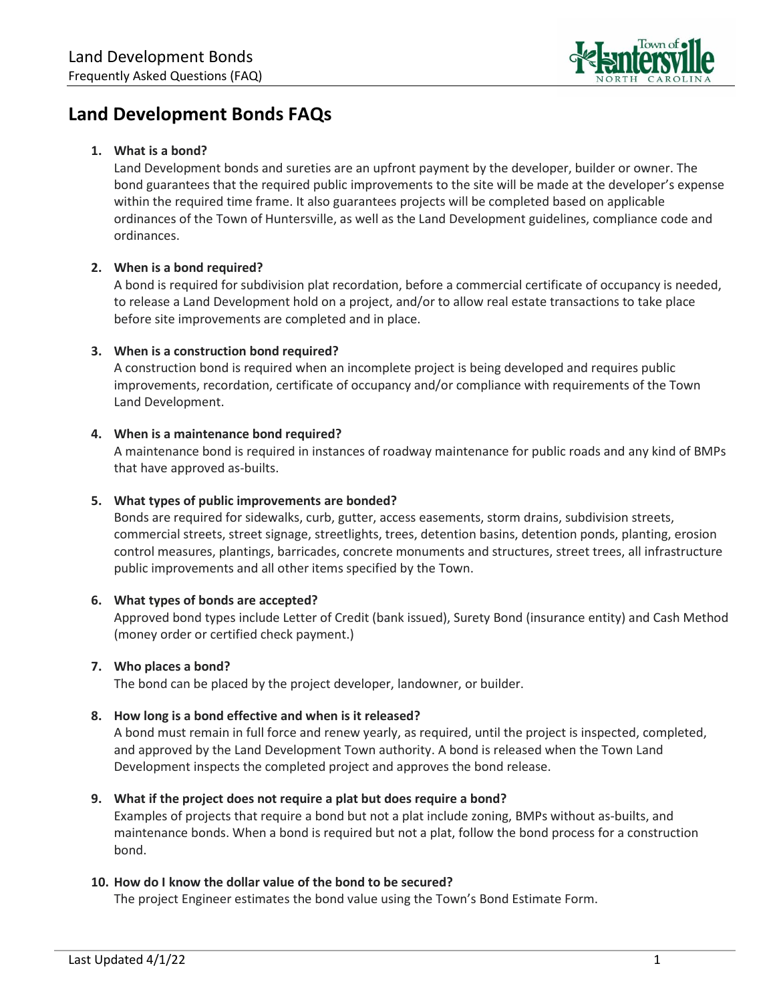

# **Land Development Bonds FAQs**

#### **1. What is a bond?**

Land Development bonds and sureties are an upfront payment by the developer, builder or owner. The bond guarantees that the required public improvements to the site will be made at the developer's expense within the required time frame. It also guarantees projects will be completed based on applicable ordinances of the Town of Huntersville, as well as the Land Development guidelines, compliance code and ordinances.

## **2. When is a bond required?**

A bond is required for subdivision plat recordation, before a commercial certificate of occupancy is needed, to release a Land Development hold on a project, and/or to allow real estate transactions to take place before site improvements are completed and in place.

## **3. When is a construction bond required?**

A construction bond is required when an incomplete project is being developed and requires public improvements, recordation, certificate of occupancy and/or compliance with requirements of the Town Land Development.

## **4. When is a maintenance bond required?**

A maintenance bond is required in instances of roadway maintenance for public roads and any kind of BMPs that have approved as-builts.

## **5. What types of public improvements are bonded?**

Bonds are required for sidewalks, curb, gutter, access easements, storm drains, subdivision streets, commercial streets, street signage, streetlights, trees, detention basins, detention ponds, planting, erosion control measures, plantings, barricades, concrete monuments and structures, street trees, all infrastructure public improvements and all other items specified by the Town.

#### **6. What types of bonds are accepted?**

Approved bond types include Letter of Credit (bank issued), Surety Bond (insurance entity) and Cash Method (money order or certified check payment.)

#### **7. Who places a bond?**

The bond can be placed by the project developer, landowner, or builder.

#### **8. How long is a bond effective and when is it released?**

A bond must remain in full force and renew yearly, as required, until the project is inspected, completed, and approved by the Land Development Town authority. A bond is released when the Town Land Development inspects the completed project and approves the bond release.

#### **9. What if the project does not require a plat but does require a bond?**

Examples of projects that require a bond but not a plat include zoning, BMPs without as-builts, and maintenance bonds. When a bond is required but not a plat, follow the bond process for a construction bond.

#### **10. How do I know the dollar value of the bond to be secured?**

The project Engineer estimates the bond value using the Town's Bond Estimate Form.